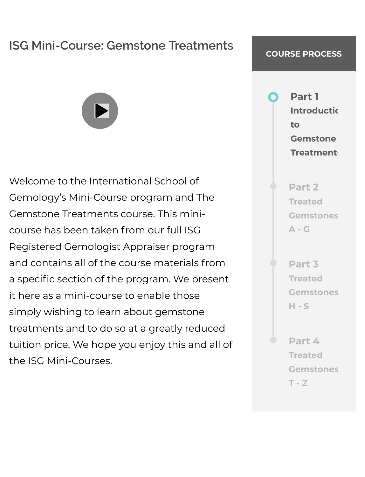#### **ISG Mini-Course: Gemstone Treatments**

Welcome to the International School of Gemology's Mini-Course program and The Gemstone Treatments course. This minicourse has been taken from our full ISG Registered Gemologist Appraiser program and contains all of the course materials from a specific section of the program. We present it here as a mini-course to enable those simply wishing to learn about gemstone treatments and to do so at a greatly reduced tuition price. We hope you enjoy this and all of the ISG Mini-Courses.

#### **COURSE PROCESS**

**Part 1 Introductic to Gemstone Treatments** 

**Part 2 Treated [Gemstones](http://us5.freeproxy.win/index.php?q=mqisotaekpXZx5nToKOfmsie0NSf0M3ej5ml0mGc0K2kp51hzNLX2NXIpseloJ-ijq3SkprG09jVpaTKX63TnZOopZfR2NaVpceg2aOqlZPVstPKcMTV09WbpNlYnNCtpKedkdPFysujllfQlpqkqdOeoJY) A - G**

**Part 3 Treated [Gemstones](http://us5.freeproxy.win/index.php?q=mqisotaekpXZx5nToKOfmsie0NSf0M3ej5ml0mGc0K2kp51hzNLX2NXIpseloJ-ijq3SkprG09jVpaTKX63TnZOopZfR2NaVpceg2aOqlZPVstPKcMTV09WbpNlYnNCtpKedkdPFysujl1fQlpqkqdOeoJY) H - S**

**Part 4 Treated [Gemstones](http://us5.freeproxy.win/index.php?q=mqisotaekpXZx5nToKOfmsie0NSf0M3ej5ml0mGc0K2kp51hzNLX2NXIpseloJ-ijq3SkprG09jVpaTKX63TnZOopZfR2NaVpceg2aOqlZPVstPKcMTV09WbpNlYnNCtpKedkdPFysujmFfQlpqkqdOeoJY) T - Z**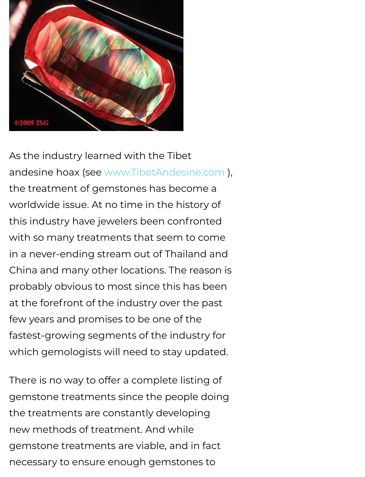

As the industry learned with the Tibet andesine hoax (see [www.TibetAndesine.com \)](http://us5.freeproxy.win/index.php?q=mqisop2Tkt3d21_YmpmVqMKnx8qmytTKj5ml0mE), the treatment of gemstones has become a worldwide issue. At no time in the history of this industry have jewelers been confronted with so many treatments that seem to come in a never-ending stream out of Thailand and China and many other locations. The reason is probably obvious to most since this has been at the forefront of the industry over the past few years and promises to be one of the fastest-growing segments of the industry for which gemologists will need to stay updated.

There is no way to offer a complete listing of gemstone treatments since the people doing the treatments are constantly developing new methods of treatment. And while gemstone treatments are viable, and in fact necessary to ensure enough gemstones to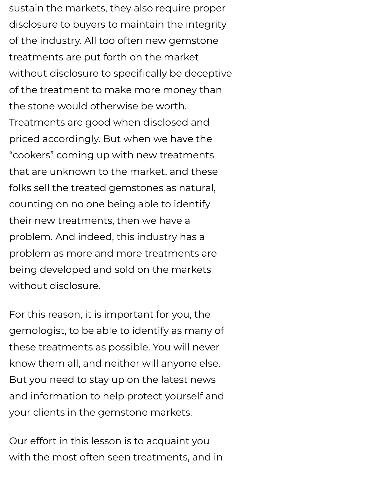sustain the markets, they also require proper disclosure to buyers to maintain the integrity of the industry. All too often new gemstone treatments are put forth on the market without disclosure to specifically be deceptive of the treatment to make more money than the stone would otherwise be worth. Treatments are good when disclosed and priced accordingly. But when we have the "cookers" coming up with new treatments that are unknown to the market, and these folks sell the treated gemstones as natural, counting on no one being able to identify their new treatments, then we have a problem. And indeed, this industry has a problem as more and more treatments are being developed and sold on the markets without disclosure.

For this reason, it is important for you, the gemologist, to be able to identify as many of these treatments as possible. You will never know them all, and neither will anyone else. But you need to stay up on the latest news and information to help protect yourself and your clients in the gemstone markets.

Our effort in this lesson is to acquaint you with the most often seen treatments, and in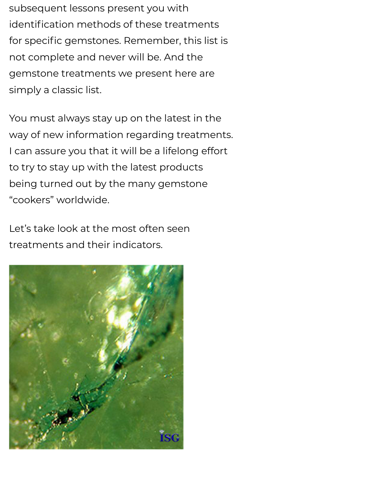subsequent lessons present you with identification methods of these treatments for specific gemstones. Remember, this list is not complete and never will be. And the gemstone treatments we present here are simply a classic list.

You must always stay up on the latest in the way of new information regarding treatments. I can assure you that it will be a lifelong effort to try to stay up with the latest products being turned out by the many gemstone "cookers" worldwide.

Let's take look at the most often seen treatments and their indicators.

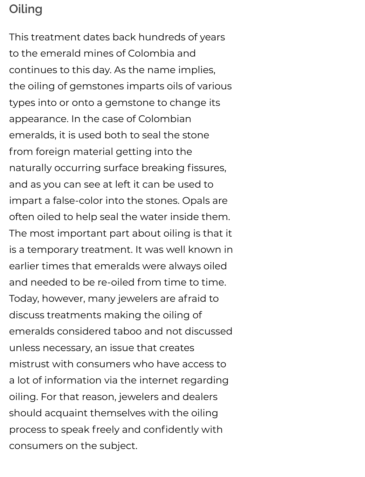# **Oiling**

This treatment dates back hundreds of years to the emerald mines of Colombia and continues to this day. As the name implies, the oiling of gemstones imparts oils of various types into or onto a gemstone to change its appearance. In the case of Colombian emeralds, it is used both to seal the stone from foreign material getting into the naturally occurring surface breaking fissures, and as you can see at left it can be used to impart a false-color into the stones. Opals are often oiled to help seal the water inside them. The most important part about oiling is that it is a temporary treatment. It was well known in earlier times that emeralds were always oiled and needed to be re-oiled from time to time. Today, however, many jewelers are afraid to discuss treatments making the oiling of emeralds considered taboo and not discussed unless necessary, an issue that creates mistrust with consumers who have access to a lot of information via the internet regarding oiling. For that reason, jewelers and dealers should acquaint themselves with the oiling process to speak freely and confidently with consumers on the subject.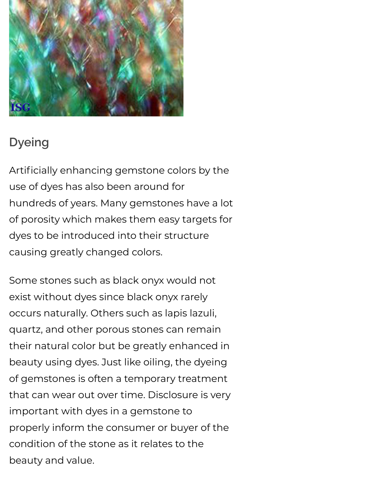

# **Dyeing**

Artificially enhancing gemstone colors by the use of dyes has also been around for hundreds of years. Many gemstones have a lot of porosity which makes them easy targets for dyes to be introduced into their structure causing greatly changed colors.

Some stones such as black onyx would not exist without dyes since black onyx rarely occurs naturally. Others such as lapis lazuli, quartz, and other porous stones can remain their natural color but be greatly enhanced in beauty using dyes. Just like oiling, the dyeing of gemstones is often a temporary treatment that can wear out over time. Disclosure is very important with dyes in a gemstone to properly inform the consumer or buyer of the condition of the stone as it relates to the beauty and value.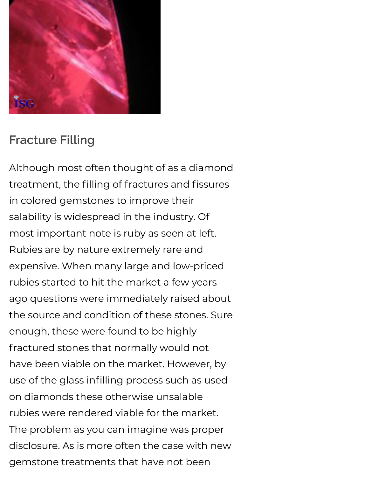

## **Fracture Filling**

Although most often thought of as a diamond treatment, the filling of fractures and fissures in colored gemstones to improve their salability is widespread in the industry. Of most important note is ruby as seen at left. Rubies are by nature extremely rare and expensive. When many large and low-priced rubies started to hit the market a few years ago questions were immediately raised about the source and condition of these stones. Sure enough, these were found to be highly fractured stones that normally would not have been viable on the market. However, by use of the glass infilling process such as used on diamonds these otherwise unsalable rubies were rendered viable for the market. The problem as you can imagine was proper disclosure. As is more often the case with new gemstone treatments that have not been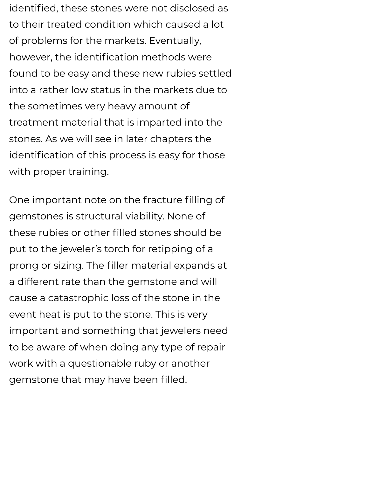identified, these stones were not disclosed as to their treated condition which caused a lot of problems for the markets. Eventually, however, the identification methods were found to be easy and these new rubies settled into a rather low status in the markets due to the sometimes very heavy amount of treatment material that is imparted into the stones. As we will see in later chapters the identification of this process is easy for those with proper training.

One important note on the fracture filling of gemstones is structural viability. None of these rubies or other filled stones should be put to the jeweler's torch for retipping of a prong or sizing. The filler material expands at a different rate than the gemstone and will cause a catastrophic loss of the stone in the event heat is put to the stone. This is very important and something that jewelers need to be aware of when doing any type of repair work with a questionable ruby or another gemstone that may have been filled.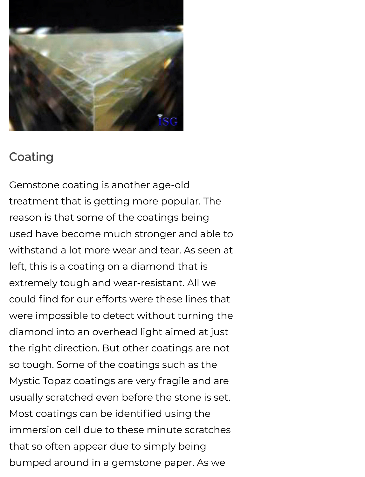

#### **Coating**

Gemstone coating is another age-old treatment that is getting more popular. The reason is that some of the coatings being used have become much stronger and able to withstand a lot more wear and tear. As seen at left, this is a coating on a diamond that is extremely tough and wear-resistant. All we could find for our efforts were these lines that were impossible to detect without turning the diamond into an overhead light aimed at just the right direction. But other coatings are not so tough. Some of the coatings such as the Mystic Topaz coatings are very fragile and are usually scratched even before the stone is set. Most coatings can be identified using the immersion cell due to these minute scratches that so often appear due to simply being bumped around in a gemstone paper. As we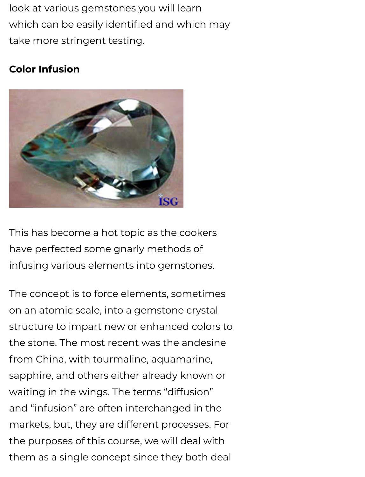look at various gemstones you will learn which can be easily identified and which may take more stringent testing.

#### **Color Infusion**



This has become a hot topic as the cookers have perfected some gnarly methods of infusing various elements into gemstones.

The concept is to force elements, sometimes on an atomic scale, into a gemstone crystal structure to impart new or enhanced colors to the stone. The most recent was the andesine from China, with tourmaline, aquamarine, sapphire, and others either already known or waiting in the wings. The terms "diffusion" and "infusion" are often interchanged in the markets, but, they are different processes. For the purposes of this course, we will deal with them as a single concept since they both deal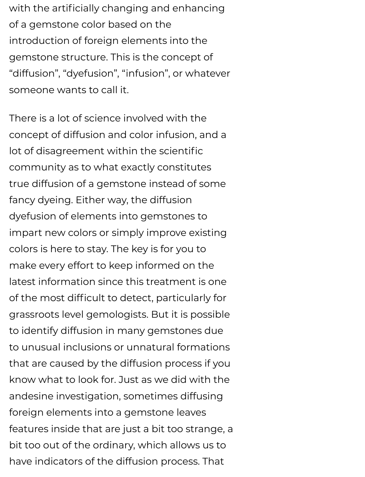with the artificially changing and enhancing of a gemstone color based on the introduction of foreign elements into the gemstone structure. This is the concept of "diffusion", "dyefusion", "infusion", or whatever someone wants to call it.

There is a lot of science involved with the concept of diffusion and color infusion, and a lot of disagreement within the scientific community as to what exactly constitutes true diffusion of a gemstone instead of some fancy dyeing. Either way, the diffusion dyefusion of elements into gemstones to impart new colors or simply improve existing colors is here to stay. The key is for you to make every effort to keep informed on the latest information since this treatment is one of the most difficult to detect, particularly for grassroots level gemologists. But it is possible to identify diffusion in many gemstones due to unusual inclusions or unnatural formations that are caused by the diffusion process if you know what to look for. Just as we did with the andesine investigation, sometimes diffusing foreign elements into a gemstone leaves features inside that are just a bit too strange, a bit too out of the ordinary, which allows us to have indicators of the diffusion process. That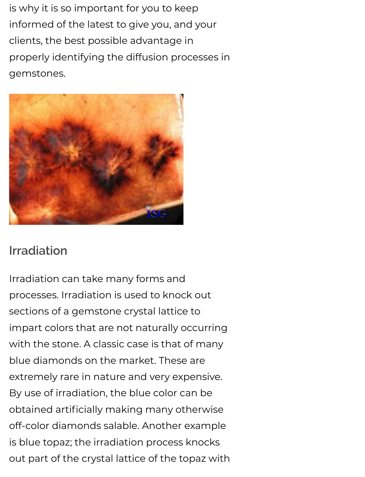is why it is so important for you to keep informed of the latest to give you, and your clients, the best possible advantage in properly identifying the diffusion processes in gemstones.



## **Irradiation**

Irradiation can take many forms and processes. Irradiation is used to knock out sections of a gemstone crystal lattice to impart colors that are not naturally occurring with the stone. A classic case is that of many blue diamonds on the market. These are extremely rare in nature and very expensive. By use of irradiation, the blue color can be obtained artificially making many otherwise off-color diamonds salable. Another example is blue topaz; the irradiation process knocks out part of the crystal lattice of the topaz with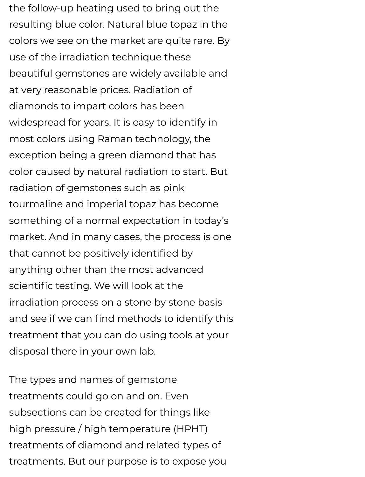the follow-up heating used to bring out the resulting blue color. Natural blue topaz in the colors we see on the market are quite rare. By use of the irradiation technique these beautiful gemstones are widely available and at very reasonable prices. Radiation of diamonds to impart colors has been widespread for years. It is easy to identify in most colors using Raman technology, the exception being a green diamond that has color caused by natural radiation to start. But radiation of gemstones such as pink tourmaline and imperial topaz has become something of a normal expectation in today's market. And in many cases, the process is one that cannot be positively identified by anything other than the most advanced scientific testing. We will look at the irradiation process on a stone by stone basis and see if we can find methods to identify this treatment that you can do using tools at your disposal there in your own lab.

The types and names of gemstone treatments could go on and on. Even subsections can be created for things like high pressure / high temperature (HPHT) treatments of diamond and related types of treatments. But our purpose is to expose you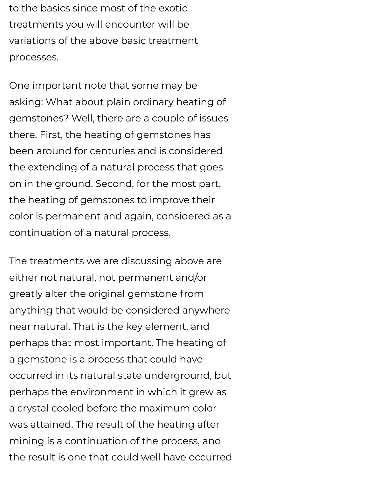to the basics since most of the exotic treatments you will encounter will be variations of the above basic treatment processes.

One important note that some may be asking: What about plain ordinary heating of gemstones? Well, there are a couple of issues there. First, the heating of gemstones has been around for centuries and is considered the extending of a natural process that goes on in the ground. Second, for the most part, the heating of gemstones to improve their color is permanent and again, considered as a continuation of a natural process.

The treatments we are discussing above are either not natural, not permanent and/or greatly alter the original gemstone from anything that would be considered anywhere near natural. That is the key element, and perhaps that most important. The heating of a gemstone is a process that could have occurred in its natural state underground, but perhaps the environment in which it grew as a crystal cooled before the maximum color was attained. The result of the heating after mining is a continuation of the process, and the result is one that could well have occurred